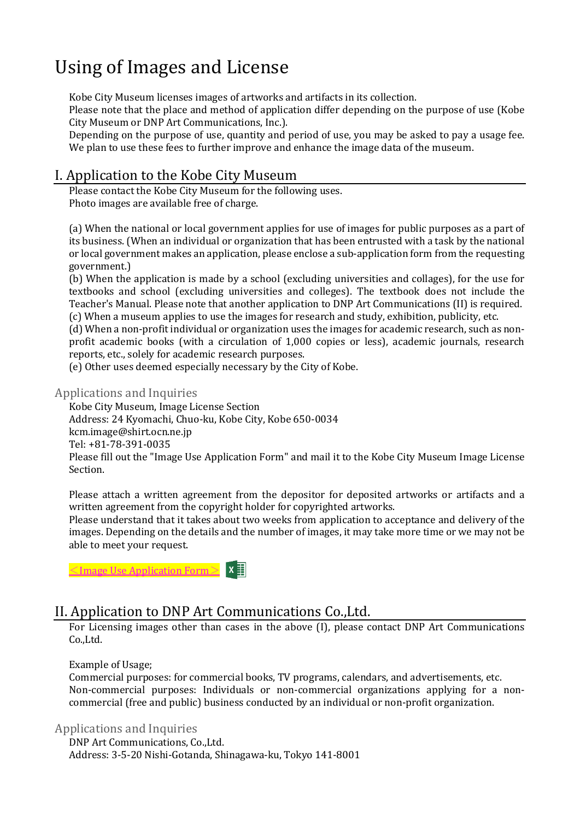# Using of Images and License

Kobe City Museum licenses images of artworks and artifacts in its collection. Please note that the place and method of application differ depending on the purpose of use (Kobe City Museum or DNP Art Communications, Inc.).

Depending on the purpose of use, quantity and period of use, you may be asked to pay a usage fee. We plan to use these fees to further improve and enhance the image data of the museum.

## I. Application to the Kobe City Museum

Please contact the Kobe City Museum for the following uses. Photo images are available free of charge.

(a) When the national or local government applies for use of images for public purposes as a part of its business. (When an individual or organization that has been entrusted with a task by the national or local government makes an application, please enclose a sub-application form from the requesting government.)

(b) When the application is made by a school (excluding universities and collages), for the use for textbooks and school (excluding universities and colleges). The textbook does not include the Teacher's Manual. Please note that another application to DNP Art Communications (II) is required. (c) When a museum applies to use the images for research and study, exhibition, publicity, etc.

(d) When a non-profit individual or organization uses the images for academic research, such as nonprofit academic books (with a circulation of 1,000 copies or less), academic journals, research reports, etc., solely for academic research purposes.

(e) Other uses deemed especially necessary by the City of Kobe.

#### Applications and Inquiries

Kobe City Museum, Image License Section Address: 24 Kyomachi, Chuo-ku, Kobe City, Kobe 650-0034 kcm.image@shirt.ocn.ne.jp Tel: +81-78-391-0035 Please fill out the "Image Use Application Form" and mail it to the Kobe City Museum Image License Section.

Please attach a written agreement from the depositor for deposited artworks or artifacts and a written agreement from the copyright holder for copyrighted artworks.

Please understand that it takes about two weeks from application to acceptance and delivery of the images. Depending on the details and the number of images, it may take more time or we may not be able to meet your request.

 $\leq$ Image Use [Application](https://kobecitymuseum.jp/link/Image_Use_Application_Form.xls) Form $\geq$ 

## II. Application to DNP Art Communications Co.,Ltd.

For Licensing images other than cases in the above (I), please contact DNP Art Communications Co.,Ltd.

Example of Usage;

Commercial purposes: for commercial books, TV programs, calendars, and advertisements, etc. Non-commercial purposes: Individuals or non-commercial organizations applying for a noncommercial (free and public) business conducted by an individual or non-profit organization.

#### Applications and Inquiries

DNP Art Communications, Co.,Ltd. Address: 3-5-20 Nishi-Gotanda, Shinagawa-ku, Tokyo 141-8001